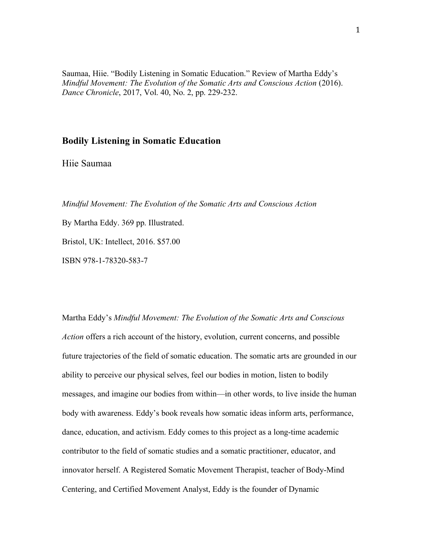Saumaa, Hiie. "Bodily Listening in Somatic Education." Review of Martha Eddy's *Mindful Movement: The Evolution of the Somatic Arts and Conscious Action* (2016). *Dance Chronicle*, 2017, Vol. 40, No. 2, pp. 229-232.

## **Bodily Listening in Somatic Education**

Hiie Saumaa

*Mindful Movement: The Evolution of the Somatic Arts and Conscious Action*

By Martha Eddy. 369 pp. Illustrated. Bristol, UK: Intellect, 2016. \$57.00

ISBN 978-1-78320-583-7

Martha Eddy's *Mindful Movement: The Evolution of the Somatic Arts and Conscious Action* offers a rich account of the history, evolution, current concerns, and possible future trajectories of the field of somatic education. The somatic arts are grounded in our ability to perceive our physical selves, feel our bodies in motion, listen to bodily messages, and imagine our bodies from within—in other words, to live inside the human body with awareness. Eddy's book reveals how somatic ideas inform arts, performance, dance, education, and activism. Eddy comes to this project as a long-time academic contributor to the field of somatic studies and a somatic practitioner, educator, and innovator herself. A Registered Somatic Movement Therapist, teacher of Body-Mind Centering, and Certified Movement Analyst, Eddy is the founder of Dynamic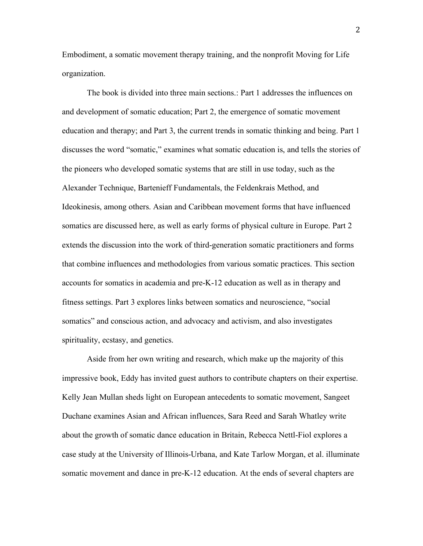Embodiment, a somatic movement therapy training, and the nonprofit Moving for Life organization.

The book is divided into three main sections.: Part 1 addresses the influences on and development of somatic education; Part 2, the emergence of somatic movement education and therapy; and Part 3, the current trends in somatic thinking and being. Part 1 discusses the word "somatic," examines what somatic education is, and tells the stories of the pioneers who developed somatic systems that are still in use today, such as the Alexander Technique, Bartenieff Fundamentals, the Feldenkrais Method, and Ideokinesis, among others. Asian and Caribbean movement forms that have influenced somatics are discussed here, as well as early forms of physical culture in Europe. Part 2 extends the discussion into the work of third-generation somatic practitioners and forms that combine influences and methodologies from various somatic practices. This section accounts for somatics in academia and pre-K-12 education as well as in therapy and fitness settings. Part 3 explores links between somatics and neuroscience, "social somatics" and conscious action, and advocacy and activism, and also investigates spirituality, ecstasy, and genetics.

Aside from her own writing and research, which make up the majority of this impressive book, Eddy has invited guest authors to contribute chapters on their expertise. Kelly Jean Mullan sheds light on European antecedents to somatic movement, Sangeet Duchane examines Asian and African influences, Sara Reed and Sarah Whatley write about the growth of somatic dance education in Britain, Rebecca Nettl-Fiol explores a case study at the University of Illinois-Urbana, and Kate Tarlow Morgan, et al. illuminate somatic movement and dance in pre-K-12 education. At the ends of several chapters are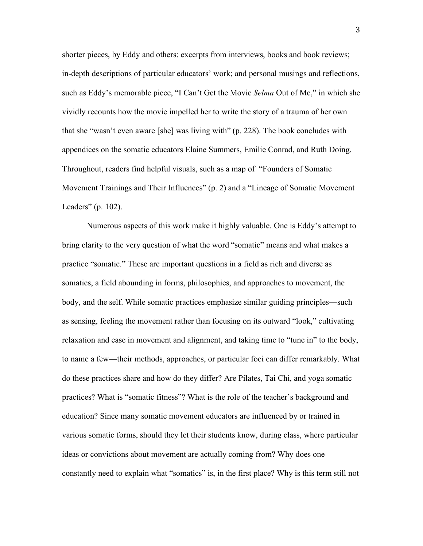shorter pieces, by Eddy and others: excerpts from interviews, books and book reviews; in-depth descriptions of particular educators' work; and personal musings and reflections, such as Eddy's memorable piece, "I Can't Get the Movie *Selma* Out of Me," in which she vividly recounts how the movie impelled her to write the story of a trauma of her own that she "wasn't even aware [she] was living with" (p. 228). The book concludes with appendices on the somatic educators Elaine Summers, Emilie Conrad, and Ruth Doing. Throughout, readers find helpful visuals, such as a map of "Founders of Somatic Movement Trainings and Their Influences" (p. 2) and a "Lineage of Somatic Movement Leaders" (p. 102).

Numerous aspects of this work make it highly valuable. One is Eddy's attempt to bring clarity to the very question of what the word "somatic" means and what makes a practice "somatic." These are important questions in a field as rich and diverse as somatics, a field abounding in forms, philosophies, and approaches to movement, the body, and the self. While somatic practices emphasize similar guiding principles—such as sensing, feeling the movement rather than focusing on its outward "look," cultivating relaxation and ease in movement and alignment, and taking time to "tune in" to the body, to name a few—their methods, approaches, or particular foci can differ remarkably. What do these practices share and how do they differ? Are Pilates, Tai Chi, and yoga somatic practices? What is "somatic fitness"? What is the role of the teacher's background and education? Since many somatic movement educators are influenced by or trained in various somatic forms, should they let their students know, during class, where particular ideas or convictions about movement are actually coming from? Why does one constantly need to explain what "somatics" is, in the first place? Why is this term still not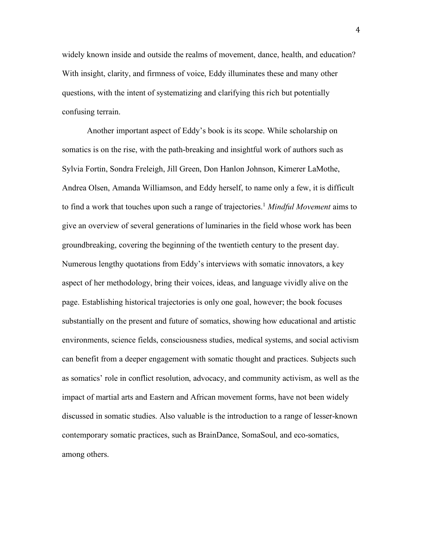widely known inside and outside the realms of movement, dance, health, and education? With insight, clarity, and firmness of voice, Eddy illuminates these and many other questions, with the intent of systematizing and clarifying this rich but potentially confusing terrain.

Another important aspect of Eddy's book is its scope. While scholarship on somatics is on the rise, with the path-breaking and insightful work of authors such as Sylvia Fortin, Sondra Freleigh, Jill Green, Don Hanlon Johnson, Kimerer LaMothe, Andrea Olsen, Amanda Williamson, and Eddy herself, to name only a few, it is difficult to find a work that touches upon such a range of trajectories. <sup>1</sup> *Mindful Movement* aims to give an overview of several generations of luminaries in the field whose work has been groundbreaking, covering the beginning of the twentieth century to the present day. Numerous lengthy quotations from Eddy's interviews with somatic innovators, a key aspect of her methodology, bring their voices, ideas, and language vividly alive on the page. Establishing historical trajectories is only one goal, however; the book focuses substantially on the present and future of somatics, showing how educational and artistic environments, science fields, consciousness studies, medical systems, and social activism can benefit from a deeper engagement with somatic thought and practices. Subjects such as somatics' role in conflict resolution, advocacy, and community activism, as well as the impact of martial arts and Eastern and African movement forms, have not been widely discussed in somatic studies. Also valuable is the introduction to a range of lesser-known contemporary somatic practices, such as BrainDance, SomaSoul, and eco-somatics, among others.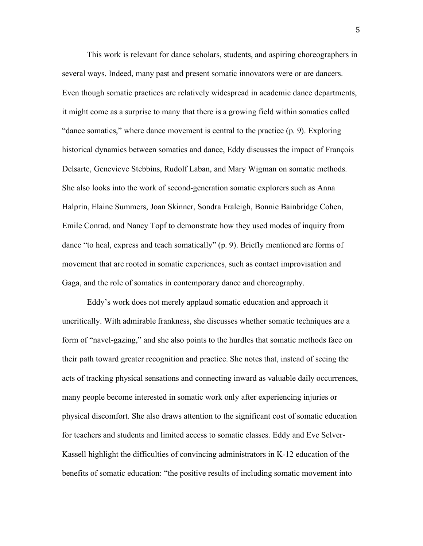This work is relevant for dance scholars, students, and aspiring choreographers in several ways. Indeed, many past and present somatic innovators were or are dancers. Even though somatic practices are relatively widespread in academic dance departments, it might come as a surprise to many that there is a growing field within somatics called "dance somatics," where dance movement is central to the practice (p. 9). Exploring historical dynamics between somatics and dance, Eddy discusses the impact of François Delsarte, Genevieve Stebbins, Rudolf Laban, and Mary Wigman on somatic methods. She also looks into the work of second-generation somatic explorers such as Anna Halprin, Elaine Summers, Joan Skinner, Sondra Fraleigh, Bonnie Bainbridge Cohen, Emile Conrad, and Nancy Topf to demonstrate how they used modes of inquiry from dance "to heal, express and teach somatically" (p. 9). Briefly mentioned are forms of movement that are rooted in somatic experiences, such as contact improvisation and Gaga, and the role of somatics in contemporary dance and choreography.

Eddy's work does not merely applaud somatic education and approach it uncritically. With admirable frankness, she discusses whether somatic techniques are a form of "navel-gazing," and she also points to the hurdles that somatic methods face on their path toward greater recognition and practice. She notes that, instead of seeing the acts of tracking physical sensations and connecting inward as valuable daily occurrences, many people become interested in somatic work only after experiencing injuries or physical discomfort. She also draws attention to the significant cost of somatic education for teachers and students and limited access to somatic classes. Eddy and Eve Selver-Kassell highlight the difficulties of convincing administrators in K-12 education of the benefits of somatic education: "the positive results of including somatic movement into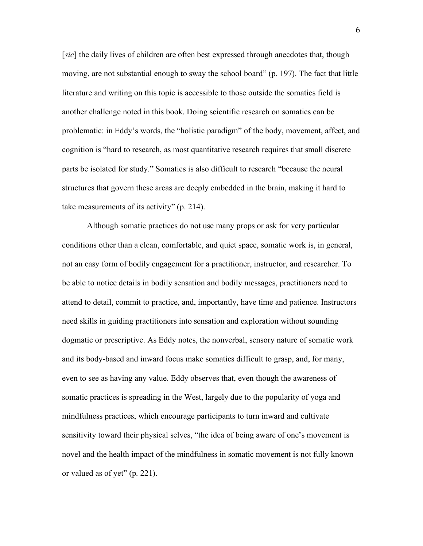[*sic*] the daily lives of children are often best expressed through anecdotes that, though moving, are not substantial enough to sway the school board" (p. 197). The fact that little literature and writing on this topic is accessible to those outside the somatics field is another challenge noted in this book. Doing scientific research on somatics can be problematic: in Eddy's words, the "holistic paradigm" of the body, movement, affect, and cognition is "hard to research, as most quantitative research requires that small discrete parts be isolated for study." Somatics is also difficult to research "because the neural structures that govern these areas are deeply embedded in the brain, making it hard to take measurements of its activity" (p. 214).

Although somatic practices do not use many props or ask for very particular conditions other than a clean, comfortable, and quiet space, somatic work is, in general, not an easy form of bodily engagement for a practitioner, instructor, and researcher. To be able to notice details in bodily sensation and bodily messages, practitioners need to attend to detail, commit to practice, and, importantly, have time and patience. Instructors need skills in guiding practitioners into sensation and exploration without sounding dogmatic or prescriptive. As Eddy notes, the nonverbal, sensory nature of somatic work and its body-based and inward focus make somatics difficult to grasp, and, for many, even to see as having any value. Eddy observes that, even though the awareness of somatic practices is spreading in the West, largely due to the popularity of yoga and mindfulness practices, which encourage participants to turn inward and cultivate sensitivity toward their physical selves, "the idea of being aware of one's movement is novel and the health impact of the mindfulness in somatic movement is not fully known or valued as of yet" (p. 221).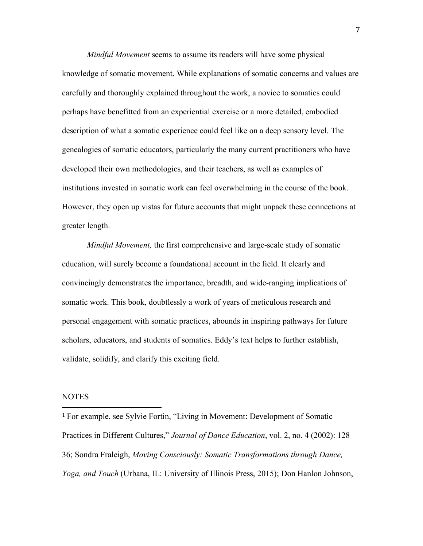*Mindful Movement* seems to assume its readers will have some physical knowledge of somatic movement. While explanations of somatic concerns and values are carefully and thoroughly explained throughout the work, a novice to somatics could perhaps have benefitted from an experiential exercise or a more detailed, embodied description of what a somatic experience could feel like on a deep sensory level. The genealogies of somatic educators, particularly the many current practitioners who have developed their own methodologies, and their teachers, as well as examples of institutions invested in somatic work can feel overwhelming in the course of the book. However, they open up vistas for future accounts that might unpack these connections at greater length.

*Mindful Movement,* the first comprehensive and large-scale study of somatic education, will surely become a foundational account in the field. It clearly and convincingly demonstrates the importance, breadth, and wide-ranging implications of somatic work. This book, doubtlessly a work of years of meticulous research and personal engagement with somatic practices, abounds in inspiring pathways for future scholars, educators, and students of somatics. Eddy's text helps to further establish, validate, solidify, and clarify this exciting field.

## NOTES

 

<sup>1</sup> For example, see Sylvie Fortin, "Living in Movement: Development of Somatic Practices in Different Cultures," *Journal of Dance Education*, vol. 2, no. 4 (2002): 128– 36; Sondra Fraleigh, *Moving Consciously: Somatic Transformations through Dance, Yoga, and Touch* (Urbana, IL: University of Illinois Press, 2015); Don Hanlon Johnson,